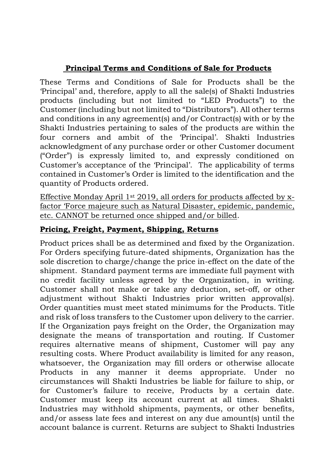# **Principal Terms and Conditions of Sale for Products**

These Terms and Conditions of Sale for Products shall be the 'Principal' and, therefore, apply to all the sale(s) of Shakti Industries products (including but not limited to "LED Products") to the Customer (including but not limited to "Distributors"). All other terms and conditions in any agreement(s) and/or Contract(s) with or by the Shakti Industries pertaining to sales of the products are within the four corners and ambit of the 'Principal'. Shakti Industries acknowledgment of any purchase order or other Customer document ("Order") is expressly limited to, and expressly conditioned on Customer's acceptance of the 'Principal'. The applicability of terms contained in Customer's Order is limited to the identification and the quantity of Products ordered.

Effective Monday April 1st 2019, all orders for products affected by xfactor 'Force majeure such as Natural Disaster, epidemic, pandemic, etc. CANNOT be returned once shipped and/or billed.

## **Pricing, Freight, Payment, Shipping, Returns**

Product prices shall be as determined and fixed by the Organization. For Orders specifying future-dated shipments, Organization has the sole discretion to charge/change the price in-effect on the date of the shipment. Standard payment terms are immediate full payment with no credit facility unless agreed by the Organization, in writing. Customer shall not make or take any deduction, set-off, or other adjustment without Shakti Industries prior written approval(s). Order quantities must meet stated minimums for the Products. Title and risk of loss transfers to the Customer upon delivery to the carrier. If the Organization pays freight on the Order, the Organization may designate the means of transportation and routing. If Customer requires alternative means of shipment, Customer will pay any resulting costs. Where Product availability is limited for any reason, whatsoever, the Organization may fill orders or otherwise allocate Products in any manner it deems appropriate. Under no circumstances will Shakti Industries be liable for failure to ship, or for Customer's failure to receive, Products by a certain date. Customer must keep its account current at all times. Shakti Industries may withhold shipments, payments, or other benefits, and/or assess late fees and interest on any due amount(s) until the account balance is current. Returns are subject to Shakti Industries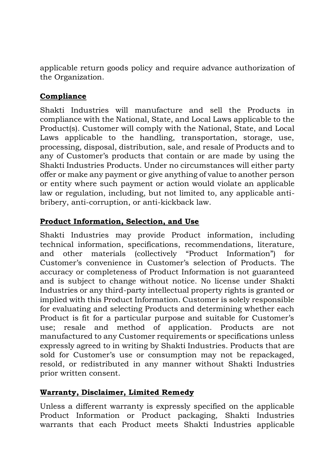applicable return goods policy and require advance authorization of the Organization.

## **Compliance**

Shakti Industries will manufacture and sell the Products in compliance with the National, State, and Local Laws applicable to the Product(s). Customer will comply with the National, State, and Local Laws applicable to the handling, transportation, storage, use, processing, disposal, distribution, sale, and resale of Products and to any of Customer's products that contain or are made by using the Shakti Industries Products. Under no circumstances will either party offer or make any payment or give anything of value to another person or entity where such payment or action would violate an applicable law or regulation, including, but not limited to, any applicable antibribery, anti-corruption, or anti-kickback law.

## **Product Information, Selection, and Use**

Shakti Industries may provide Product information, including technical information, specifications, recommendations, literature, and other materials (collectively "Product Information") for Customer's convenience in Customer's selection of Products. The accuracy or completeness of Product Information is not guaranteed and is subject to change without notice. No license under Shakti Industries or any third-party intellectual property rights is granted or implied with this Product Information. Customer is solely responsible for evaluating and selecting Products and determining whether each Product is fit for a particular purpose and suitable for Customer's use; resale and method of application. Products are not manufactured to any Customer requirements or specifications unless expressly agreed to in writing by Shakti Industries. Products that are sold for Customer's use or consumption may not be repackaged, resold, or redistributed in any manner without Shakti Industries prior written consent.

### **Warranty, Disclaimer, Limited Remedy**

Unless a different warranty is expressly specified on the applicable Product Information or Product packaging, Shakti Industries warrants that each Product meets Shakti Industries applicable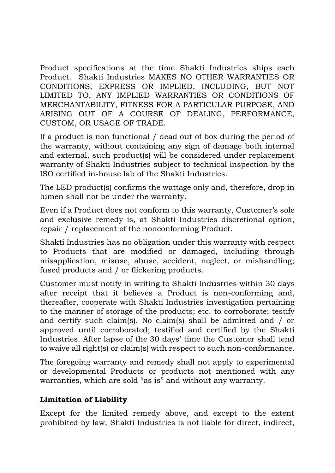Product specifications at the time Shakti Industries ships each Product. Shakti Industries MAKES NO OTHER WARRANTIES OR CONDITIONS, EXPRESS OR IMPLIED, INCLUDING, BUT NOT LIMITED TO, ANY IMPLIED WARRANTIES OR CONDITIONS OF MERCHANTABILITY, FITNESS FOR A PARTICULAR PURPOSE, AND ARISING OUT OF A COURSE OF DEALING, PERFORMANCE, CUSTOM, OR USAGE OF TRADE.

If a product is non functional / dead out of box during the period of the warranty, without containing any sign of damage both internal and external, such product(s) will be considered under replacement warranty of Shakti Industries subject to technical inspection by the ISO certified in-house lab of the Shakti Industries.

The LED product(s) confirms the wattage only and, therefore, drop in lumen shall not be under the warranty.

Even if a Product does not conform to this warranty, Customer's sole and exclusive remedy is, at Shakti Industries discretional option, repair / replacement of the nonconforming Product.

Shakti Industries has no obligation under this warranty with respect to Products that are modified or damaged, including through misapplication, misuse, abuse, accident, neglect, or mishandling; fused products and / or flickering products.

Customer must notify in writing to Shakti Industries within 30 days after receipt that it believes a Product is non-conforming and, thereafter, cooperate with Shakti Industries investigation pertaining to the manner of storage of the products; etc. to corroborate; testify and certify such claim(s). No claim(s) shall be admitted and / or approved until corroborated; testified and certified by the Shakti Industries. After lapse of the 30 days' time the Customer shall tend to waive all right(s) or claim(s) with respect to such non-conformance.

The foregoing warranty and remedy shall not apply to experimental or developmental Products or products not mentioned with any warranties, which are sold "as is" and without any warranty.

### **Limitation of Liability**

Except for the limited remedy above, and except to the extent prohibited by law, Shakti Industries is not liable for direct, indirect,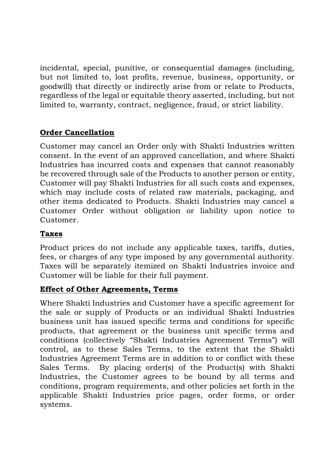incidental, special, punitive, or consequential damages (including, but not limited to, lost profits, revenue, business, opportunity, or goodwill) that directly or indirectly arise from or relate to Products, regardless of the legal or equitable theory asserted, including, but not limited to, warranty, contract, negligence, fraud, or strict liability.

## **Order Cancellation**

Customer may cancel an Order only with Shakti Industries written consent. In the event of an approved cancellation, and where Shakti Industries has incurred costs and expenses that cannot reasonably be recovered through sale of the Products to another person or entity, Customer will pay Shakti Industries for all such costs and expenses, which may include costs of related raw materials, packaging, and other items dedicated to Products. Shakti Industries may cancel a Customer Order without obligation or liability upon notice to Customer.

## **Taxes**

Product prices do not include any applicable taxes, tariffs, duties, fees, or charges of any type imposed by any governmental authority. Taxes will be separately itemized on Shakti Industries invoice and Customer will be liable for their full payment.

### **Effect of Other Agreements, Terms**

Where Shakti Industries and Customer have a specific agreement for the sale or supply of Products or an individual Shakti Industries business unit has issued specific terms and conditions for specific products, that agreement or the business unit specific terms and conditions (collectively "Shakti Industries Agreement Terms") will control, as to these Sales Terms, to the extent that the Shakti Industries Agreement Terms are in addition to or conflict with these Sales Terms. By placing order(s) of the Product(s) with Shakti Industries, the Customer agrees to be bound by all terms and conditions, program requirements, and other policies set forth in the applicable Shakti Industries price pages, order forms, or order systems.